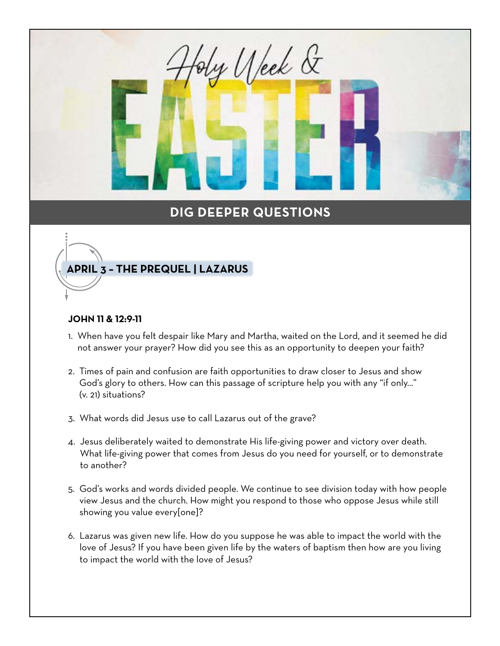y Ueek &

### **APRIL 3 – THE PREQUEL | LAZARUS**

#### **JOHN 11 & 12:9-11**

- 1. When have you felt despair like Mary and Martha, waited on the Lord, and it seemed he did not answer your prayer? How did you see this as an opportunity to deepen your faith?
- 2. Times of pain and confusion are faith opportunities to draw closer to Jesus and show God's glory to others. How can this passage of scripture help you with any "if only..." (v. 21) situations?
- 3. What words did Jesus use to call Lazarus out of the grave?
- 4. Jesus deliberately waited to demonstrate His life-giving power and victory over death. What life-giving power that comes from Jesus do you need for yourself, or to demonstrate to another?
- 5. God's works and words divided people. We continue to see division today with how people view Jesus and the church. How might you respond to those who oppose Jesus while still showing you value every[one]?
- 6. Lazarus was given new life. How do you suppose he was able to impact the world with the love of Jesus? If you have been given life by the waters of baptism then how are you living to impact the world with the love of Jesus?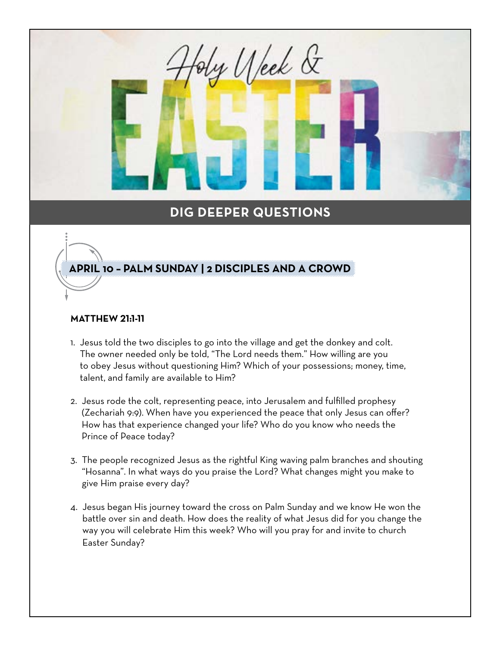y Ueek &

#### **APRIL 10 – PALM SUNDAY | 2 DISCIPLES AND A CROWD**

#### **MATTHEW 21:1-11**

- 1. Jesus told the two disciples to go into the village and get the donkey and colt. The owner needed only be told, "The Lord needs them." How willing are you to obey Jesus without questioning Him? Which of your possessions; money, time, talent, and family are available to Him?
- 2. Jesus rode the colt, representing peace, into Jerusalem and fulfilled prophesy (Zechariah 9:9). When have you experienced the peace that only Jesus can offer? How has that experience changed your life? Who do you know who needs the Prince of Peace today?
- 3. The people recognized Jesus as the rightful King waving palm branches and shouting "Hosanna". In what ways do you praise the Lord? What changes might you make to give Him praise every day?
- 4. Jesus began His journey toward the cross on Palm Sunday and we know He won the battle over sin and death. How does the reality of what Jesus did for you change the way you will celebrate Him this week? Who will you pray for and invite to church Easter Sunday?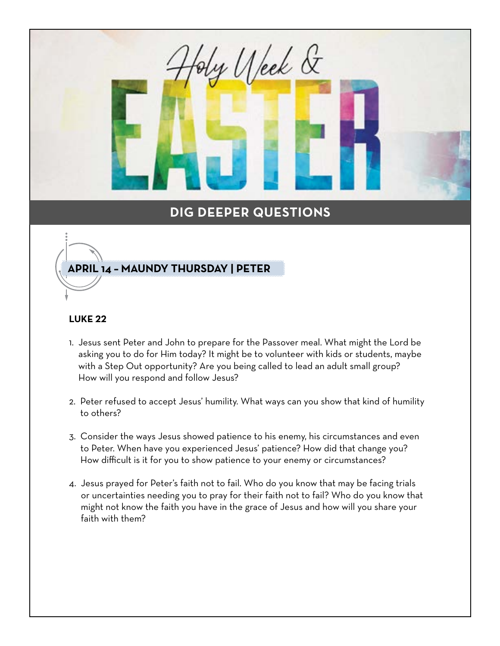y Ueek &

#### **APRIL 14 – MAUNDY THURSDAY | PETER**

#### **LUKE 22**

- 1. Jesus sent Peter and John to prepare for the Passover meal. What might the Lord be asking you to do for Him today? It might be to volunteer with kids or students, maybe with a Step Out opportunity? Are you being called to lead an adult small group? How will you respond and follow Jesus?
- 2. Peter refused to accept Jesus' humility. What ways can you show that kind of humility to others?
- 3. Consider the ways Jesus showed patience to his enemy, his circumstances and even to Peter. When have you experienced Jesus' patience? How did that change you? How difficult is it for you to show patience to your enemy or circumstances?
- 4. Jesus prayed for Peter's faith not to fail. Who do you know that may be facing trials or uncertainties needing you to pray for their faith not to fail? Who do you know that might not know the faith you have in the grace of Jesus and how will you share your faith with them?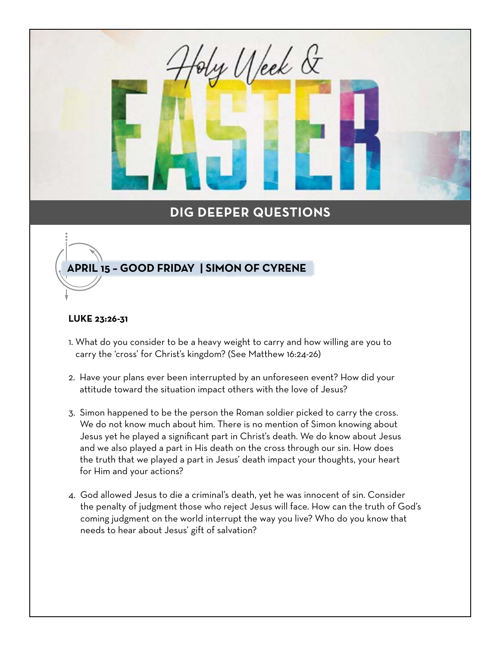y Ueek &

#### **APRIL 15 – GOOD FRIDAY | SIMON OF CYRENE**

#### **LUKE 23:26-31**

- 1. What do you consider to be a heavy weight to carry and how willing are you to carry the 'cross' for Christ's kingdom? (See Matthew 16:24-26)
- 2. Have your plans ever been interrupted by an unforeseen event? How did your attitude toward the situation impact others with the love of Jesus?
- 3. Simon happened to be the person the Roman soldier picked to carry the cross. We do not know much about him. There is no mention of Simon knowing about Jesus yet he played a significant part in Christ's death. We do know about Jesus and we also played a part in His death on the cross through our sin. How does the truth that we played a part in Jesus' death impact your thoughts, your heart for Him and your actions?
- 4. God allowed Jesus to die a criminal's death, yet he was innocent of sin. Consider the penalty of judgment those who reject Jesus will face. How can the truth of God's coming judgment on the world interrupt the way you live? Who do you know that needs to hear about Jesus' gift of salvation?